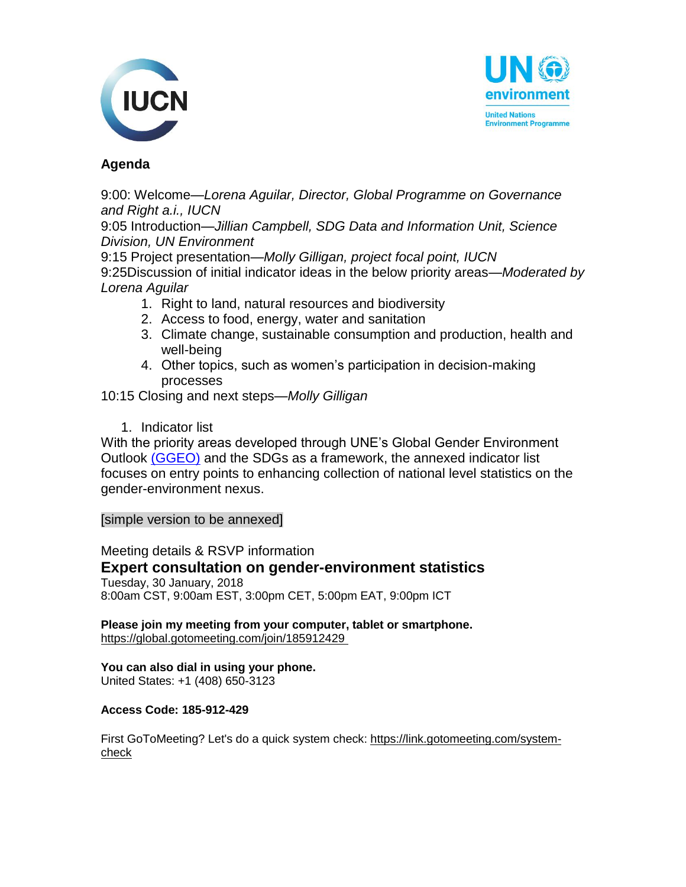



## **Agenda**

9:00: Welcome—*Lorena Aguilar, Director, Global Programme on Governance and Right a.i., IUCN*

9:05 Introduction—*Jillian Campbell, SDG Data and Information Unit, Science Division, UN Environment* 

9:15 Project presentation—*Molly Gilligan, project focal point, IUCN* 

9:25Discussion of initial indicator ideas in the below priority areas—*Moderated by Lorena Aguilar*

- 1. Right to land, natural resources and biodiversity
- 2. Access to food, energy, water and sanitation
- 3. Climate change, sustainable consumption and production, health and well-being
- 4. Other topics, such as women's participation in decision-making processes
- 10:15 Closing and next steps—*Molly Gilligan*
	- 1. Indicator list

With the priority areas developed through UNE's Global Gender Environment Outlook [\(GGEO\)](http://web.unep.org/ggeo) and the SDGs as a framework, the annexed indicator list focuses on entry points to enhancing collection of national level statistics on the gender-environment nexus.

[simple version to be annexed]

Meeting details & RSVP information **Expert consultation on gender-environment statistics** Tuesday, 30 January, 2018 8:00am CST, 9:00am EST, 3:00pm CET, 5:00pm EAT, 9:00pm ICT

**Please join my meeting from your computer, tablet or smartphone.** [https://global.gotomeeting.com/join/185912429](https://mail.iucn.org/owa/redir.aspx?C=H9Ag1k6aBELbJPsxsTKc9XOGkjccB8h7k5FAmUSeVQBTrbR13mLVCA..&URL=https%3a%2f%2fglobal.gotomeeting.com%2fjoin%2f185912429)

## **You can also dial in using your phone.**

United States: +1 (408) 650-3123

## **Access Code: 185-912-429**

First GoToMeeting? Let's do a quick system check: [https://link.gotomeeting.com/system](https://mail.iucn.org/owa/redir.aspx?C=pqS3UsUHxDYyuZvNrxm4G4IaBQAtQ06u1zdhTjPMJdtTrbR13mLVCA..&URL=https%3a%2f%2flink.gotomeeting.com%2fsystem-check)[check](https://mail.iucn.org/owa/redir.aspx?C=pqS3UsUHxDYyuZvNrxm4G4IaBQAtQ06u1zdhTjPMJdtTrbR13mLVCA..&URL=https%3a%2f%2flink.gotomeeting.com%2fsystem-check)